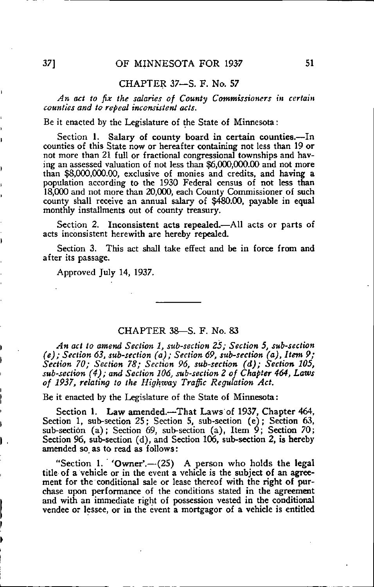## CHAPTER 37—S. F. No. 57

An act to fix the salaries of County Commissioners in certain counties and to repeal inconsistent acts.

Be it enacted by the Legislature of the State of Minnesota:

Section 1. Salary of county board in certain counties.—In counties of this State now or hereafter containing not less than 19 or not more than 21 full or fractional congressional townships and having an assessed valuation of not less than \$6,000,000.00 and not more than \$8,000,000.00, exclusive of monies and credits, and having a population according to the 1930 Federal census of not less than 18,000 and not more than 20,000, each County Commissioner of such county shall receive an annual salary of \$480.00, payable in equal monthly installments out of county treasury.

Section 2. Inconsistent acts repealed.—All acts or parts of acts inconsistent herewith are hereby repealed.

Section 3. This act shall take effect and be in force from and after its passage.

Approved July 14, 1937.

## CHAPTER 38—S. F. No. 83

An act to amend Section 1, sub-section 25; Section 5, sub-section  $(e)$ ; Section 63, sub-section  $(a)$ ; Section 69, sub-section  $(a)$ , Item 9; Section 70; Section 78; Section 96, sub-section (d); Section 105, sub-section (4); and Section 106, sub-section 2 of Chapter 464, Laws of 1937, relating to the Highway Traffic Regulation Act.

Be it enacted by the Legislature of the State of Minnesota:

Section 1. Law amended.—That Laws'of 1937, Chapter 464, Section 1, sub-section 25; Section 5, sub-section (e); Section 63, sub-section (a); Section 69, sub-section (a), Item 9; Section 70; Section 96, sub-section (d), and Section 106, sub-section 2, is hereby amended so, as to read as follows:

"Section 1. 'Owner'.—(25) A person who holds the legal title of a vehicle or in the event a vehicle is the subject of an agreement for the conditional sale or lease thereof with the right of purchase upon performance of the conditions stated in the agreement and with an immediate right of possession vested in the conditional vendee or lessee, or in the event a mortgagor of a vehicle is entitled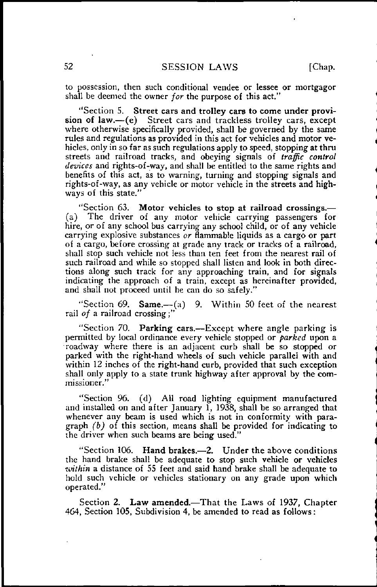to possession, then such conditional vendee or lessee or mortgagor shall be deemed the owner *for* the purpose of this act."

"Section 5. Street cars and trolley cars to come under provision of law.—(e) Street cars and trackless trolley cars, except where otherwise specifically provided, shall be governed by the same rules and regulations as provided in this act for vehicles and motor vehicles, only in so far as such regulations apply to speed, stopping at thru streets and railroad tracks, and obeying signals of traffic control devices and rights-of-way, and shall be entitled to the same rights and benefits of this act, as to warning, turning and stopping signals and rights-of-way, as any vehicle or motor vehicle in the streets and highways of this state."

"Section 63. Motor vehicles to stop at railroad crossings.—<br>(a) The driver of any motor vehicle carrying passengers for The driver of any motor vehicle carrying passengers for hire, or of any school bus carrying any school child, or of any vehicle carrying explosive substances or flammable liquids as a cargo or part of a cargo, before crossing at grade any track or tracks of a railroad, shall stop such vehicle not less than ten feet from the nearest rail of such railroad and while so stopped shall listen and look in both directions along such track for any approaching train, and for signals indicating the approach of a train, except as hereinafter provided, and shall not proceed until he can do so safely."

"Section 69. Same.— $(a)$  9. Within 50 feet of the nearest rail of a railroad crossing;"

"Section 70. Parking cars.—Except where angle parking is permitted by local ordinance every vehicle stopped or *parked* upon a roadway where there is an adjacent curb shall be so stopped or parked with the right-hand wheels of such vehicle parallel with and within 12 inches of the right-hand curb, provided that such exception shall only apply to a state trunk highway after approval by the commissioner."

"Section 96. (d) AH road lighting equipment manufactured and installed on and after January 1, 1938, shall be so arranged that whenever any beam is used which is not in conformity with paragraph  $(b)$  of this section, means shall be provided for indicating to the driver when such beams are being used."

"Section 106. Hand brakes.—2. Under the above conditions the hand brake shall be adequate to stop such vehicle or vehicles within a distance of 55 feet and said hand brake shall be adequate to hold such vehicle or vehicles stationary on any grade upon which operated."

Section 2. Law amended.—That the Laws of 1937, Chapter 464, Section 105, Subdivision 4, be amended to read as follows: